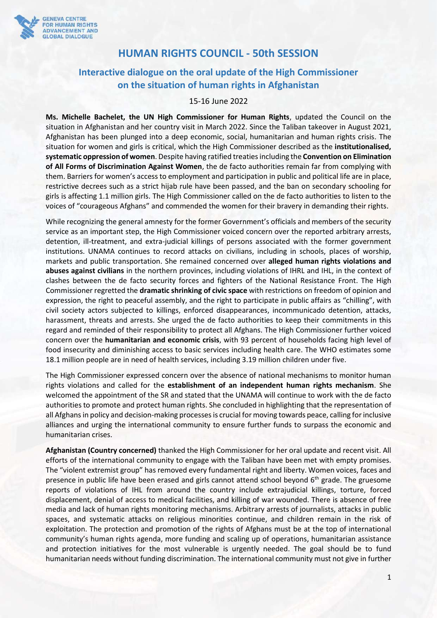

# **HUMAN RIGHTS COUNCIL - 50th SESSION**

# **Interactive dialogue on the oral update of the High Commissioner on the situation of human rights in Afghanistan**

### 15-16 June 2022

**Ms. Michelle Bachelet, the UN High Commissioner for Human Rights**, updated the Council on the situation in Afghanistan and her country visit in March 2022. Since the Taliban takeover in August 2021, Afghanistan has been plunged into a deep economic, social, humanitarian and human rights crisis. The situation for women and girls is critical, which the High Commissioner described as the **institutionalised, systematic oppression of women**. Despite having ratified treaties including the **Convention on Elimination of All Forms of Discrimination Against Women**, the de facto authorities remain far from complying with them. Barriers for women's access to employment and participation in public and political life are in place, restrictive decrees such as a strict hijab rule have been passed, and the ban on secondary schooling for girls is affecting 1.1 million girls. The High Commissioner called on the de facto authorities to listen to the voices of "courageous Afghans" and commended the women for their bravery in demanding their rights.

While recognizing the general amnesty for the former Government's officials and members of the security service as an important step, the High Commissioner voiced concern over the reported arbitrary arrests, detention, ill-treatment, and extra-judicial killings of persons associated with the former government institutions. UNAMA continues to record attacks on civilians, including in schools, places of worship, markets and public transportation. She remained concerned over **alleged human rights violations and abuses against civilians** in the northern provinces, including violations of IHRL and IHL, in the context of clashes between the de facto security forces and fighters of the National Resistance Front. The High Commissioner regretted the **dramatic shrinking of civic space** with restrictions on freedom of opinion and expression, the right to peaceful assembly, and the right to participate in public affairs as "chilling", with civil society actors subjected to killings, enforced disappearances, incommunicado detention, attacks, harassment, threats and arrests. She urged the de facto authorities to keep their commitments in this regard and reminded of their responsibility to protect all Afghans. The High Commissioner further voiced concern over the **humanitarian and economic crisis**, with 93 percent of households facing high level of food insecurity and diminishing access to basic services including health care. The WHO estimates some 18.1 million people are in need of health services, including 3.19 million children under five.

The High Commissioner expressed concern over the absence of national mechanisms to monitor human rights violations and called for the **establishment of an independent human rights mechanism**. She welcomed the appointment of the SR and stated that the UNAMA will continue to work with the de facto authorities to promote and protect human rights. She concluded in highlighting that the representation of all Afghans in policy and decision-making processes is crucial for moving towards peace, calling for inclusive alliances and urging the international community to ensure further funds to surpass the economic and humanitarian crises.

**Afghanistan (Country concerned)** thanked the High Commissioner for her oral update and recent visit. All efforts of the international community to engage with the Taliban have been met with empty promises. The "violent extremist group" has removed every fundamental right and liberty. Women voices, faces and presence in public life have been erased and girls cannot attend school beyond  $6<sup>th</sup>$  grade. The gruesome reports of violations of IHL from around the country include extrajudicial killings, torture, forced displacement, denial of access to medical facilities, and killing of war wounded. There is absence of free media and lack of human rights monitoring mechanisms. Arbitrary arrests of journalists, attacks in public spaces, and systematic attacks on religious minorities continue, and children remain in the risk of exploitation. The protection and promotion of the rights of Afghans must be at the top of international community's human rights agenda, more funding and scaling up of operations, humanitarian assistance and protection initiatives for the most vulnerable is urgently needed. The goal should be to fund humanitarian needs without funding discrimination. The international community must not give in further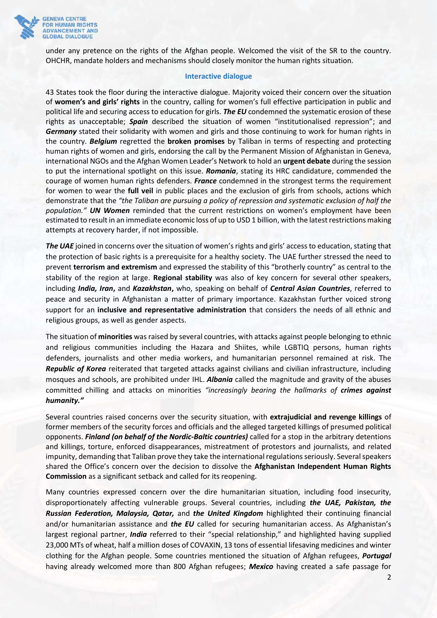

under any pretence on the rights of the Afghan people. Welcomed the visit of the SR to the country. OHCHR, mandate holders and mechanisms should closely monitor the human rights situation.

### **Interactive dialogue**

43 States took the floor during the interactive dialogue. Majority voiced their concern over the situation of **women's and girls' rights** in the country, calling for women's full effective participation in public and political life and securing access to education for girls. *The EU* condemned the systematic erosion of these rights as unacceptable; *Spain* described the situation of women "institutionalised repression"; and *Germany* stated their solidarity with women and girls and those continuing to work for human rights in the country. *Belgium* regretted the **broken promises** by Taliban in terms of respecting and protecting human rights of women and girls, endorsing the call by the Permanent Mission of Afghanistan in Geneva, international NGOs and the Afghan Women Leader's Network to hold an **urgent debate** during the session to put the international spotlight on this issue. *Romania*, stating its HRC candidature, commended the courage of women human rights defenders. *France* condemned in the strongest terms the requirement for women to wear the **full veil** in public places and the exclusion of girls from schools, actions which demonstrate that the *"the Taliban are pursuing a policy of repression and systematic exclusion of half the population." UN Women* reminded that the current restrictions on women's employment have been estimated to result in an immediate economic loss of up to USD 1 billion, with the latest restrictions making attempts at recovery harder, if not impossible.

*The UAE* joined in concerns over the situation of women's rights and girls' access to education, stating that the protection of basic rights is a prerequisite for a healthy society. The UAE further stressed the need to prevent **terrorism and extremism** and expressed the stability of this "brotherly country" as central to the stability of the region at large. **Regional stability** was also of key concern for several other speakers, including *India, Iran***,** and *Kazakhstan***,** who, speaking on behalf of *Central Asian Countries*, referred to peace and security in Afghanistan a matter of primary importance. Kazakhstan further voiced strong support for an **inclusive and representative administration** that considers the needs of all ethnic and religious groups, as well as gender aspects.

The situation of **minorities** was raised by several countries, with attacks against people belonging to ethnic and religious communities including the Hazara and Shiites, while LGBTIQ persons, human rights defenders, journalists and other media workers, and humanitarian personnel remained at risk. The *Republic of Korea* reiterated that targeted attacks against civilians and civilian infrastructure, including mosques and schools, are prohibited under IHL. *Albania* called the magnitude and gravity of the abuses committed chilling and attacks on minorities *"increasingly bearing the hallmarks of crimes against humanity."*

Several countries raised concerns over the security situation, with **extrajudicial and revenge killings** of former members of the security forces and officials and the alleged targeted killings of presumed political opponents. *Finland (on behalf of the Nordic-Baltic countries)* called for a stop in the arbitrary detentions and killings, torture, enforced disappearances, mistreatment of protestors and journalists, and related impunity, demanding that Taliban prove they take the international regulations seriously. Several speakers shared the Office's concern over the decision to dissolve the **Afghanistan Independent Human Rights Commission** as a significant setback and called for its reopening.

Many countries expressed concern over the dire humanitarian situation, including food insecurity, disproportionately affecting vulnerable groups. Several countries, including *the UAE, Pakistan, the Russian Federation, Malaysia, Qatar,* and *the United Kingdom* highlighted their continuing financial and/or humanitarian assistance and *the EU* called for securing humanitarian access. As Afghanistan's largest regional partner, *India* referred to their "special relationship," and highlighted having supplied 23,000 MTs of wheat, half a million doses of COVAXIN, 13 tons of essential lifesaving medicines and winter clothing for the Afghan people. Some countries mentioned the situation of Afghan refugees, *Portugal* having already welcomed more than 800 Afghan refugees; *Mexico* having created a safe passage for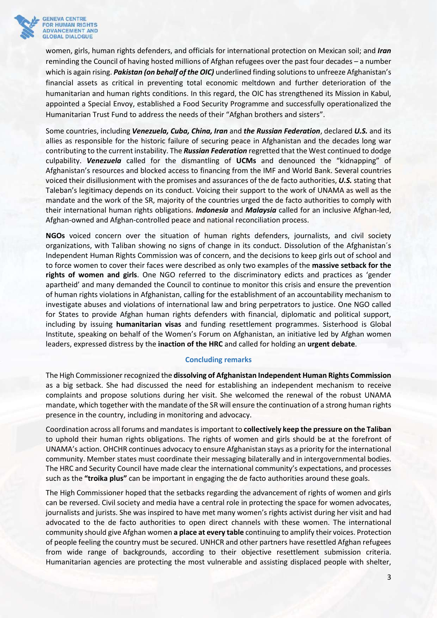

women, girls, human rights defenders, and officials for international protection on Mexican soil; and *Iran* reminding the Council of having hosted millions of Afghan refugees over the past four decades – a number which is again rising. *Pakistan (on behalf of the OIC)* underlined finding solutions to unfreeze Afghanistan's financial assets as critical in preventing total economic meltdown and further deterioration of the humanitarian and human rights conditions. In this regard, the OIC has strengthened its Mission in Kabul, appointed a Special Envoy, established a Food Security Programme and successfully operationalized the Humanitarian Trust Fund to address the needs of their "Afghan brothers and sisters".

Some countries, including *Venezuela, Cuba, China, Iran* and *the Russian Federation*, declared *U.S.* and its allies as responsible for the historic failure of securing peace in Afghanistan and the decades long war contributing to the current instability. The *Russian Federation* regretted that the West continued to dodge culpability. *Venezuela* called for the dismantling of **UCMs** and denounced the "kidnapping" of Afghanistan's resources and blocked access to financing from the IMF and World Bank. Several countries voiced their disillusionment with the promises and assurances of the de facto authorities, *U.S.* stating that Taleban's legitimacy depends on its conduct. Voicing their support to the work of UNAMA as well as the mandate and the work of the SR, majority of the countries urged the de facto authorities to comply with their international human rights obligations. *Indonesia* and *Malaysia* called for an inclusive Afghan-led, Afghan-owned and Afghan-controlled peace and national reconciliation process.

**NGOs** voiced concern over the situation of human rights defenders, journalists, and civil society organizations, with Taliban showing no signs of change in its conduct. Dissolution of the Afghanistan´s Independent Human Rights Commission was of concern, and the decisions to keep girls out of school and to force women to cover their faces were described as only two examples of the **massive setback for the rights of women and girls**. One NGO referred to the discriminatory edicts and practices as 'gender apartheid' and many demanded the Council to continue to monitor this crisis and ensure the prevention of human rights violations in Afghanistan, calling for the establishment of an accountability mechanism to investigate abuses and violations of international law and bring perpetrators to justice. One NGO called for States to provide Afghan human rights defenders with financial, diplomatic and political support, including by issuing **humanitarian visas** and funding resettlement programmes. Sisterhood is Global Institute, speaking on behalf of the Women's Forum on Afghanistan, an initiative led by Afghan women leaders, expressed distress by the **inaction of the HRC** and called for holding an **urgent debate**.

#### **Concluding remarks**

The High Commissioner recognized the **dissolving of Afghanistan Independent Human Rights Commission** as a big setback. She had discussed the need for establishing an independent mechanism to receive complaints and propose solutions during her visit. She welcomed the renewal of the robust UNAMA mandate, which together with the mandate of the SR will ensure the continuation of a strong human rights presence in the country, including in monitoring and advocacy.

Coordination across all forums and mandatesis important to **collectively keep the pressure on the Taliban** to uphold their human rights obligations. The rights of women and girls should be at the forefront of UNAMA's action. OHCHR continues advocacy to ensure Afghanistan stays as a priority for the international community. Member states must coordinate their messaging bilaterally and in intergovernmental bodies. The HRC and Security Council have made clear the international community's expectations, and processes such as the **"troika plus"** can be important in engaging the de facto authorities around these goals.

The High Commissioner hoped that the setbacks regarding the advancement of rights of women and girls can be reversed. Civil society and media have a central role in protecting the space for women advocates, journalists and jurists. She was inspired to have met many women's rights activist during her visit and had advocated to the de facto authorities to open direct channels with these women. The international community should give Afghan women **a place at every table** continuing to amplify their voices. Protection of people feeling the country must be secured. UNHCR and other partners have resettled Afghan refugees from wide range of backgrounds, according to their objective resettlement submission criteria. Humanitarian agencies are protecting the most vulnerable and assisting displaced people with shelter,